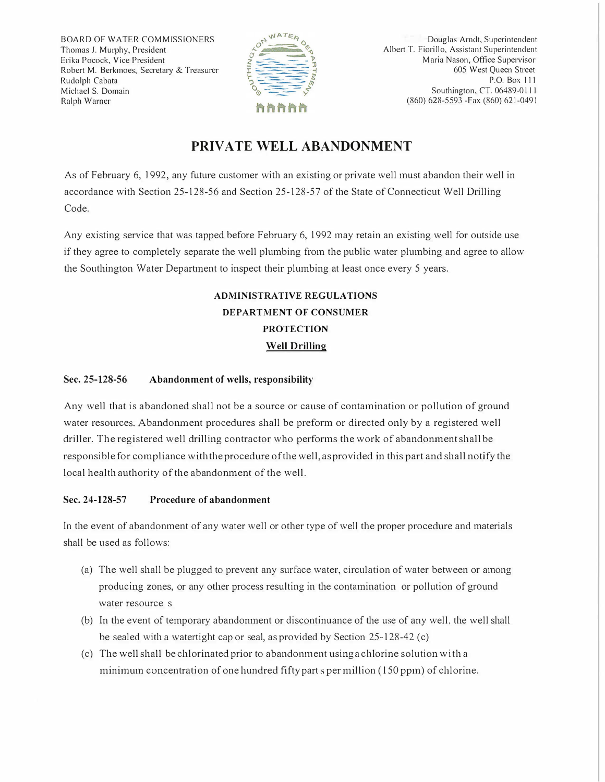BOARD OF WATER COMMISSIONERS Thomas J. Murphy, President Erika Pocock, Vice President Robert M. Berkmoes, Secretary & Treasurer Rudolph Cabata Michael S. Domain Ralph Warner



Douglas Arndt, Superintendent Albert T. Fiorillo, Assistant Superintendent Maria Nason, Office Supervisor 605 West Queen Street P.O. Box 111 Southington, CT. 06489-011 I (860) 628-5593 -Fax (860) 621-0491

## **PRIVATE WELL ABANDONMENT**

As of February 6, 1992, any future customer with an existing or private well must abandon their well in accordance with Section 25-128-56 and Section 25-128-57 of the State of Connecticut Well Drilling Code.

Any existing service that was tapped before February 6, 1992 may retain an existing well for outside use if they agree to completely separate the well plumbing from the public water plumbing and agree to allow the Southington Water Department to inspect their plumbing at least once every 5 years.

## **ADMINISTRATIVE REGULATIONS DEPARTMENT OF CONSUMER PROTECTION Well Drilling**

## **Sec. 25-128-56 Abandonment of wells, responsibility**

Any well that is abandoned shall not be a source or cause of contamination or pollution of ground water resources. Abandonment procedures shall be prefonn or directed only by a registered well driller. The registered well drilling contractor who performs the work of abandonment shall be responsible for compliance with the procedure of the well, as provided in this part and shall notify the local health authority of the abandomnent of the well.

## **Sec. 24-128-57 Procedure of abandonment**

In the event of abandonment of any water well or other type of well the proper procedure and materials shall be used as follows:

- (a) The well shall be plugged to prevent any surface water, circulation of water between or among producing zones, or any other process resulting in the contamination or pollution of ground water resource s
- (b) In the event of temporary abandonment or discontinuance of the use of any well, the well shall be sealed with a watertight cap or seal, as provided by Section 25-128-42 (c)
- (c) The well shall be chlorinated prior to abandomnent using a chlorine solution with a minimum concentration of one hundred fifty parts per million ( 150 ppm) of chlorine.